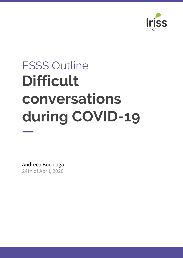

# ESSS Outline **Difficult conversations during COVID-19**

Andreea Bocioaga 24th of April, 2020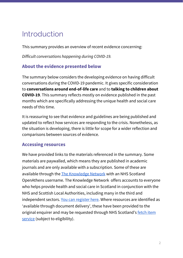## Introduction

This summary provides an overview of recent evidence concerning:

*Difficult conversations happening during COVID-19.*

### **About the evidence presented below**

The summary below considers the developing evidence on having difficult conversations during the COVID-19 pandemic. It gives specific consideration to **conversations around end-of-life care** and to **talking to children about COVID-19**. This summary reflects mostly on evidence published in the past months which are specifically addressing the unique health and social care needs of this time.

It is reassuring to see that evidence and guidelines are being published and updated to reflect how services are responding to the crisis. Nonetheless, as the situation is developing, there is little for scope for a wider reflection and comparisons between sources of evidence.

#### **Accessing resources**

We have provided links to the materials referenced in the summary. Some materials are paywalled, which means they are published in academic journals and are only available with a subscription. Some of these are available through the The [Knowledge](http://www.knowledge.scot.nhs.uk/home/register-or-sign-in.aspx) Network with an NHS Scotland OpenAthens username. The Knowledge Network offers accounts to everyone who helps provide health and social care in Scotland in conjunction with the NHS and Scottish Local Authorities, including many in the third and independent sectors. You can [register](https://www.athensregistration.scot.nhs.uk/) here. Where resources are identified as 'available through document delivery', these have been provided to the original enquirer and may be requested through NHS Scotland's [fetch](https://nhs-scot-primo.hosted.exlibrisgroup.com/primo-explore/citationlinker?vid=44NHSS_SSKS) item [service](https://nhs-scot-primo.hosted.exlibrisgroup.com/primo-explore/citationlinker?vid=44NHSS_SSKS) (subject to eligibility).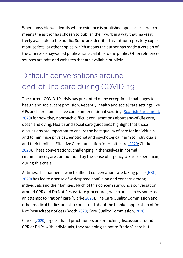Where possible we identify where evidence is published open access, which means the author has chosen to publish their work in a way that makes it freely available to the public. Some are identified as author repository copies, manuscripts, or other copies, which means the author has made a version of the otherwise paywalled publication available to the public. Other referenced sources are pdfs and websites that are available publicly

# Difficult conversations around end-of-life care during COVID-19

The current COVID-19 crisis has presented many exceptional challenges to health and social care provision. Recently, health and social care settings like GPs and care homes have come under national scrutiny (Scottish [Parliament,](https://www.scottishparliament.tv/meeting/leaders-virtual-question-time-april-9-2020) [2020\)](https://www.scottishparliament.tv/meeting/leaders-virtual-question-time-april-9-2020) for how they approach difficult conversations about end-of-life care, death and dying. Health and social care guidelines highlight that these discussions are important to ensure the best quality of care for individuals and to minimise physical, emotional and psychological harm to individuals and their families (Effective Communication for Healthcare, [2020](https://www.ec4h.org.uk/covid-19-effective-communication-for-professionals/); Clarke [2020\)](https://www.theguardian.com/commentisfree/2020/apr/08/do-not-resuscitate-orders-caused-panic-uk-truth#_=_). These conversations, challenging in themselves in normal circumstances, are compounded by the sense of urgency we are experiencing during this crisis.

At times, the manner in which difficult conversations are taking place (**BBC**, [2020\)](https://www.bbc.co.uk/news/uk-wales-52117814) has led to a sense of widespread confusion and concern among individuals and their families. Much of this concern surrounds conversation around CPR and Do Not Resuscitate procedures, which are seen by some as an attempt to "ration" care (Clarke [2020\)](https://www.theguardian.com/commentisfree/2020/apr/08/do-not-resuscitate-orders-caused-panic-uk-truth#_=_). The Care Quality Commission and other medical bodies are also concerned about the blanket application of Do Not Resuscitate notices (Booth [2020;](https://www.theguardian.com/world/2020/apr/01/uk-healthcare-regulator-brands-resuscitation-strategy-unacceptable) Care Quality Commission, [2020\)](https://www.cqc.org.uk/news/stories/joint-statement-advance-care-planning).

Clarke [\(2020](https://www.theguardian.com/commentisfree/2020/apr/08/do-not-resuscitate-orders-caused-panic-uk-truth#_=_)) argues that if practitioners are broaching discussion around CPR or DNRs with individuals, they are doing so not to "ration" care but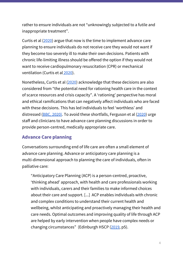rather to ensure individuals are not "unknowingly subjected to a futile and inappropriate treatment".

Curtis et al ([2020\)](https://jamanetwork.com/journals/jama/article-abstract/2763952) argue that now is the time to implement advance care planning to ensure individuals do not receive care they would not want if they become too severely ill to make their own decisions. Patients with chronic life-limiting illness should be offered the option if they would not want to receive cardiopulmonary resuscitation (CPR) or mechanical ventilation (Curtis et al [2020\)](https://jamanetwork.com/journals/jama/article-abstract/2763952).

Nonetheless, Curtis et al ([2020](https://jamanetwork.com/journals/jama/article-abstract/2763952)) acknowledge that these decisions are also considered from "the potential need for rationing health care in the context of scarce resources and crisis capacity". A 'rationing' perspective has moral and ethical ramifications that can negatively affect individuals who are faced with these decisions. This has led individuals to feel 'worthless' and distressed (BBC, [2020\)](https://www.bbc.co.uk/news/uk-wales-52117814). To avoid these shortfalls, Ferguson et al ([2020](https://www.sciencedirect.com/science/article/pii/S0885392420301779)) urge staff and clinicians to have advance care planning discussions in order to provide person-centred, medically appropriate care.

### **Advance Care planning**

Conversations surrounding end of life care are often a small element of advance care planning. Advance or anticipatory care planning is a multi-dimensional approach to planning the care of individuals, often in palliative care:

"Anticipatory Care Planning (ACP) is a person-centred, proactive, 'thinking ahead' approach, with health and care professionals working with individuals, carers and their families to make informed choices about their care and support. [...] ACP enables individuals with chronic and complex conditions to understand their current health and wellbeing, whilst anticipating and proactively managing their health and care needs. Optimal outcomes and improving quality of life through ACP are helped by early intervention when people have complex needs or changing circumstances" (Edinburgh HSCP ([2019,](https://ihub.scot/media/6966/acp-improvement-programme-learning-report-phase-3-2018-19-revised-151119.pdf) p5).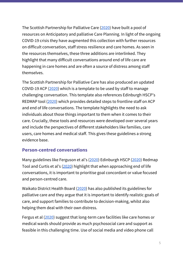The Scottish Partnership for Palliative Care ([2020](https://www.palliativecarescotland.org.uk/content/covid-scottish-eolc-guidance)) have built a pool of resources on Anticipatory and palliative Care Planning. In light of the ongoing COVID-19 crisis they have augmented this collection with further resources on difficult conversation, staff stress resilience and care homes. As seen in the resources themselves, these three additions are interlinked. They highlight that many difficult conversations around end of life care are happening in care homes and are often a source of distress among staff themselves.

The Scottish Partnership for Palliative Care has also produced an updated COVID-19 ACP ([2020](https://ihub.scot/acp-covid-19)) which is a template to be used by staff to manage challenging conversation. This template also references Edinburgh HSCP's REDMAP tool [\(2020\)](https://www.ec4h.org.uk/wp-content/uploads/2020/04/RED-MAP-Guide-for-Professionals-V5.0-080420.pdf) which provides detailed steps to frontline staff on ACP and end of life conversations. The template highlights the need to ask individuals about those things important to them when it comes to their care. Crucially, these tools and resources were developed over several years and include the perspectives of different stakeholders like families, care users, care homes and medical staff. This gives these guidelines a strong evidence base.

### **Person-centred conversations**

Many guidelines like Ferguson et al's ([2020\)](https://www.sciencedirect.com/science/article/pii/S0885392420301779) Edinburgh HSCP [\(2020](https://www.ec4h.org.uk/wp-content/uploads/2020/04/RED-MAP-Guide-for-Professionals-V5.0-080420.pdf)) Redmap Tool and Curtis et al's [\(2020](https://jamanetwork.com/journals/jama/article-abstract/2763952)) highlight that when approaching end of life conversations, it is important to prioritise goal concordant or value focused and person-centred care.

Waikato District Health Board ([2020\)](https://www.hospicewaikato.org.nz/file/te-ara-whakapiri-care-plan-inpatient-and-residential-care/open) has also published its guidelines for palliative care and they argue that it is important to identify realistic goals of care, and support families to contribute to decision-making, whilst also helping them deal with their own distress.

Fergus et al [\(2020](https://www.sciencedirect.com/science/article/pii/S0885392420301779)) suggest that long-term care facilities like care homes or medical wards should provide as much psychosocial care and support as feasible in this challenging time. Use of social media and video phone call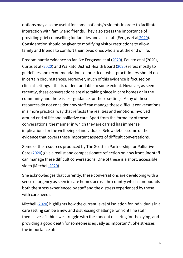options may also be useful for some patients/residents in order to facilitate interaction with family and friends. They also stress the importance of providing grief counselling for families and also staff (Fergus et al [2020](https://www.sciencedirect.com/science/article/pii/S0885392420301779)). Consideration should be given to modifying visitor restrictions to allow family and friends to comfort their loved ones who are at the end of life.

Predominantly evidence so far like Ferguson et al ([2020\)](https://www.sciencedirect.com/science/article/pii/S0885392420301779), Fausto et al (2020), Curtis et al ([2020\)](https://jamanetwork.com/journals/jama/article-abstract/2763952) and Waikato District Health Board [\(2020](https://www.hospicewaikato.org.nz/file/te-ara-whakapiri-care-plan-inpatient-and-residential-care/open)) refers mostly to guidelines and recommendations of practice – what practitioners should do in certain circumstances. Moreover, much of this evidence is focused on clinical settings – this is understandable to some extent. However, as seen recently, these conversations are also taking place in care homes or in the community and there is less guidance for these settings. Many of these resources do not consider how staff can manage these difficult conversations in a more practical way that reflects the realities and emotions involved around end of life and palliative care. Apart from the formality of these conversations, the manner in which they are carried has immense implications for the wellbeing of individuals. Below details some of the evidence that covers these important aspects of difficult conversations.

Some of the resources produced by The Scottish Partnership for Palliative Care ([2020\)](https://www.palliativecarescotland.org.uk/content/covid-scottish-eolc-guidance) give a realist and compassionate reflection on how front line staff can manage these difficult conversations. One of these is a short, accessible video (Mitchell [2020](https://vimeo.com/404554818)).

She acknowledges that currently, these conversations are developing with a sense of urgency as seen in care homes across the country which compounds both the stress experienced by staff and the distress experienced by those with care needs.

Mitchell [\(2020](https://vimeo.com/404554818)) highlights how the current level of isolation for individuals in a care setting can be a new and distressing challenge for front line staff themselves: "I think we struggle with the concept of caring for the dying, and providing a good death for someone is equally as important". She stresses the importance of: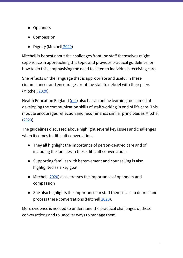- Openness
- Compassion
- Dignity (Mitchell [2020](https://vimeo.com/404554818))

Mitchell is honest about the challenges frontline staff themselves might experience in approaching this topic and provides practical guidelines for how to do this, emphasising the need to listen to individuals receiving care.

She reflects on the language that is appropriate and useful in these circumstances and encourages frontline staff to debrief with their peers (Mitchell [2020](https://vimeo.com/404554818)).

Health Education England  $(n.a)$  also has an online learning tool aimed at developing the communication skills of staff working in end of life care. This module encourages reflection and recommends similar principles as Mitchel ([2020](https://vimeo.com/404554818)).

The guidelines discussed above highlight several key issues and challenges when it comes to difficult conversations:

- They all highlight the importance of person-centred care and of including the families in these difficult conversations
- Supporting families with bereavement and counselling is also highlighted as a key goal
- Mitchell [\(2020](https://vimeo.com/404554818)) also stresses the importance of openness and compassion
- She also highlights the importance for staff themselves to debrief and process these conversations (Mitchell [2020](https://vimeo.com/404554818)).

More evidence is needed to understand the practical challenges of these conversations and to uncover ways to manage them.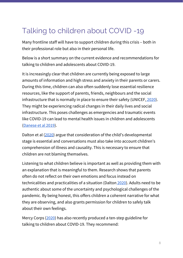# Talking to children about COVID -19

Many frontline staff will have to support children during this crisis – both in their professional role but also in their personal life.

Below is a short summary on the current evidence and recommendations for talking to children and adolescents about COVID-19.

It is increasingly clear that children are currently being exposed to large amounts of information and high stress and anxiety in their parents or carers. During this time, children can also often suddenly lose essential resilience resources, like the support of parents, friends, neighbours and the social infrastructure that is normally in place to ensure their safety (UNICEF, [2020](https://www.unicef.org/coronavirus/how-talk-your-child-about-coronavirus-covid-19)). They might be experiencing radical changes in their daily lives and social infrastructure. This poses challenges as emergencies and traumatic events like COVID-19 can lead to mental health issues in children and adolescents ([Danese](https://www.cambridge.org/core/services/aop-cambridge-core/content/view/C112839620C6AF501E8927F994EA228C/S0007125019002447a.pdf) et al 2019).

Dalton et al [\(2020](https://www.thelancet.com/journals/lanchi/article/PIIS2352-4642(20)30097-3/fulltext)) argue that consideration of the child's developmental stage is essential and conversations must also take into account children's comprehension of illness and causality. This is necessary to ensure that children are not blaming themselves.

Listening to what children believe is important as well as providing them with an explanation that is meaningful to them. Research shows that parents often do not reflect on their own emotions and focus instead on technicalities and practicalities of a situation (Dalton [2020\)](https://www.thelancet.com/journals/lanchi/article/PIIS2352-4642(20)30097-3/fulltext). Adults need to be authentic about some of the uncertainty and psychological challenges of the pandemic. By being honest, this offers children a coherent narrative for what they are observing, and also grants permission for children to safely talk about their own feelings.

Mercy Corps ([2020\)](https://www.mercycorps.org/blog/tips-helping-children-through-crisis) has also recently produced a ten-step guideline for talking to children about COVID-19. They recommend: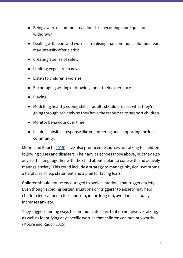- Being aware of common reactions like becoming more quiet or withdrawn
- Dealing with fears and worries realising that common childhood fears may intensify after a crisis
- Creating a sense of safety
- Limiting exposure to news
- Listen to children's worries
- Encouraging writing or drawing about their experience
- Playing
- Modelling healthy coping skills adults should process what they're going through privately so they have the resources to support children.
- Monitor behaviour over time
- Inspire a positive response like volunteering and supporting the local community.

Moore and Rauch [\(2015\)](https://www.mghpact.org/assets/media/documents/MGH%20PACT%20Guide%20(Talking).pdf) have also produced resources for talking to children following crises and disasters. Their advice echoes those above, but they also advise thinking together with the child about a plan to cope with and actively manage anxiety. This could include a strategy to manage physical symptoms, a helpful self-help statement and a plan for facing fears.

Children should not be encouraged to avoid situations that trigger anxiety. Even though avoiding certain situations or "triggers" to anxiety may help children feel calmer in the short run, in the long run, avoidance actually increases anxiety.

They suggest finding ways to communicate fears that do not involve talking, as well as identifying any specific worries that children can put into words (Moore and Rauch [2015\)](https://www.mghpact.org/assets/media/documents/MGH%20PACT%20Guide%20(Talking).pdf).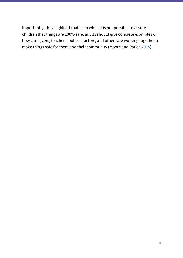Importantly, they highlight that even when it is not possible to assure children that things are 100% safe, adults should give concrete examples of how caregivers, teachers, police, doctors, and others are working together to make things safe for them and their community (Moore and Rauch [2015\)](https://www.mghpact.org/assets/media/documents/MGH%20PACT%20Guide%20(Talking).pdf).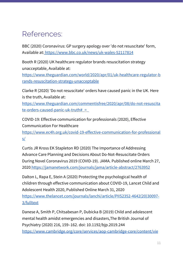## References:

BBC (2020) Coronavirus: GP surgery apology over 'do not resuscitate' form, Available at: <https://www.bbc.co.uk/news/uk-wales-52117814>

Booth R (2020) UK healthcare regulator brands resuscitation strategy unacceptable, Available at:

[https://www.theguardian.com/world/2020/apr/01/uk-healthcare-regulator-b](https://www.theguardian.com/world/2020/apr/01/uk-healthcare-regulator-brands-resuscitation-strategy-unacceptable) [rands-resuscitation-strategy-unacceptable](https://www.theguardian.com/world/2020/apr/01/uk-healthcare-regulator-brands-resuscitation-strategy-unacceptable)

Clarke R (2020) 'Do not resuscitate' orders have caused panic in the UK. Here is the truth, Available at:

[https://www.theguardian.com/commentisfree/2020/apr/08/do-not-resuscita](https://www.theguardian.com/commentisfree/2020/apr/08/do-not-resuscitate-orders-caused-panic-uk-truth#_=_)  $te-orders-caused-panic-uk-truth# =$ 

COVID-19: Effective communication for professionals (2020), Effective Communication For Healthcare

[https://www.ec4h.org.uk/covid-19-effective-communication-for-professional](https://www.ec4h.org.uk/covid-19-effective-communication-for-professionals/) [s/](https://www.ec4h.org.uk/covid-19-effective-communication-for-professionals/)

Curtis JR Kross EK Stapleton RD (2020) The Importance of Addressing Advance Care Planning and Decisions About Do-Not-Resuscitate Orders During Novel Coronavirus 2019 (COVID-19). JAMA. Published online March 27, 2020 <https://jamanetwork.com/journals/jama/article-abstract/2763952>

Dalton L, Rapa E, Stein A (2020) Protecting the psychological health of children through effective communication about COVID-19, Lancet Child and Adolescent Health 2020, Published Online March 31, 202[0](https://www.thelancet.com/journals/lanchi/article/PIIS2352-4642(20)30097-3/fulltext)

[https://www.thelancet.com/journals/lanchi/article/PIIS2352-4642\(20\)30097-](https://www.thelancet.com/journals/lanchi/article/PIIS2352-4642(20)30097-3/fulltext) [3/fulltext](https://www.thelancet.com/journals/lanchi/article/PIIS2352-4642(20)30097-3/fulltext)

Danese A, Smith P, Chitsabesan P, Dubicka B (2019) Child and adolescent mental health amidst emergencies and disasters,The British Journal of Psychiatry (2020) 216, 159–162. doi: 10.1192/bjp.2019.244 [https://www.cambridge.org/core/services/aop-cambridge-core/content/vie](https://www.cambridge.org/core/services/aop-cambridge-core/content/view/C112839620C6AF501E8927F994EA228C/S0007125019002447a.pdf/child_and_adolescent_mental_health_amidst_emergencies_and_disasters.pdf)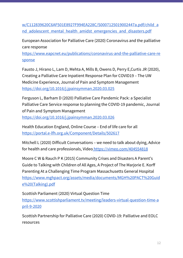[w/C112839620C6AF501E8927F994EA228C/S0007125019002447a.pdf/child\\_a](https://www.cambridge.org/core/services/aop-cambridge-core/content/view/C112839620C6AF501E8927F994EA228C/S0007125019002447a.pdf/child_and_adolescent_mental_health_amidst_emergencies_and_disasters.pdf) nd adolescent mental health amidst emergencies and disasters.pdf

European Association for Palliative Care (2020) Coronavirus and the palliative care response

[https://www.eapcnet.eu/publications/coronavirus-and-the-palliative-care-re](https://www.eapcnet.eu/publications/coronavirus-and-the-palliative-care-response) [sponse](https://www.eapcnet.eu/publications/coronavirus-and-the-palliative-care-response)

Fausto J, Hirano L, Lam D, Mehta A, Mills B, Owens D, Perry E,Curtis JR (2020), Creating a Palliative Care Inpatient Response Plan for COVID19 – The UW Medicine Experience, Journal of Pain and Symptom Managemen[t](https://doi.org/10.1016/j.jpainsymman.2020.03.025) <https://doi.org/10.1016/j.jpainsymman.2020.03.025>

Ferguson L, Barham D (2020) Palliative Care Pandemic Pack: a Specialist Palliative Care Service response to planning the COVID-19 pandemic, Journal of Pain and Symptom Management

<https://doi.org/10.1016/j.jpainsymman.2020.03.026>

Health Education England, Online Course – End of life care for all <https://portal.e-lfh.org.uk/Component/Details/502617>

Mitchell L (2020) Difficult Conversations – we need to talk about dying, Advice for health and care professionals, Video <https://vimeo.com/404554818>

Moore C W & Rauch P K (2015) Community Crises and Disasters A Parent's Guide to Talking with Children of All Ages, A Project of The Marjorie E. Korff Parenting At a Challenging Time Program Massachusetts General Hospital [https://www.mghpact.org/assets/media/documents/MGH%20PACT%20Guid](https://www.mghpact.org/assets/media/documents/MGH%20PACT%20Guide%20(Talking).pdf) [e%20\(Talking\).pdf](https://www.mghpact.org/assets/media/documents/MGH%20PACT%20Guide%20(Talking).pdf)

Scottish Parliament (2020) Virtual Question Time [https://www.scottishparliament.tv/meeting/leaders-virtual-question-time-a](https://www.scottishparliament.tv/meeting/leaders-virtual-question-time-april-9-2020) [pril-9-2020](https://www.scottishparliament.tv/meeting/leaders-virtual-question-time-april-9-2020)

Scottish Partnership for Palliative Care (2020) COVID-19: Palliative and EOLC resource[s](https://www.palliativecarescotland.org.uk/content/covid-scottish-eolc-guidance)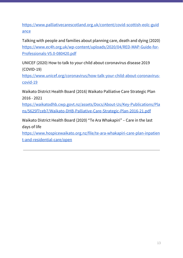[https://www.palliativecarescotland.org.uk/content/covid-scottish-eolc-guid](https://www.palliativecarescotland.org.uk/content/covid-scottish-eolc-guidance) [ance](https://www.palliativecarescotland.org.uk/content/covid-scottish-eolc-guidance)

Talking with people and families about planning care, death and dying (2020) [https://www.ec4h.org.uk/wp-content/uploads/2020/04/RED-MAP-Guide-for-](https://www.ec4h.org.uk/wp-content/uploads/2020/04/RED-MAP-Guide-for-Professionals-V5.0-080420.pdf)[Professionals-V5.0-080420.pdf](https://www.ec4h.org.uk/wp-content/uploads/2020/04/RED-MAP-Guide-for-Professionals-V5.0-080420.pdf)

UNICEF (2020) How to talk to your child about coronavirus disease 2019 (COVID-19)

[https://www.unicef.org/coronavirus/how-talk-your-child-about-coronavirus](https://www.unicef.org/coronavirus/how-talk-your-child-about-coronavirus-covid-19)[covid-19](https://www.unicef.org/coronavirus/how-talk-your-child-about-coronavirus-covid-19)

Waikato District Health Board (2016) Waikato Palliative Care Strategic Plan 2016 - 202[1](https://waikatodhb.cwp.govt.nz/assets/Docs/About-Us/Key-Publications/Plans/5625f7ceb7/Waikato-DHB-Palliative-Care-Strategic-Plan-2016-21.pdf)

[https://waikatodhb.cwp.govt.nz/assets/Docs/About-Us/Key-Publications/Pla](https://waikatodhb.cwp.govt.nz/assets/Docs/About-Us/Key-Publications/Plans/5625f7ceb7/Waikato-DHB-Palliative-Care-Strategic-Plan-2016-21.pdf) [ns/5625f7ceb7/Waikato-DHB-Palliative-Care-Strategic-Plan-2016-21.pdf](https://waikatodhb.cwp.govt.nz/assets/Docs/About-Us/Key-Publications/Plans/5625f7ceb7/Waikato-DHB-Palliative-Care-Strategic-Plan-2016-21.pdf)

Waikato District Health Board (2020) "Te Ara Whakapiri" – Care in the last days of lif[e](https://www.hospicewaikato.org.nz/file/te-ara-whakapiri-care-plan-inpatient-and-residential-care/open)

[https://www.hospicewaikato.org.nz/file/te-ara-whakapiri-care-plan-inpatien](https://www.hospicewaikato.org.nz/file/te-ara-whakapiri-care-plan-inpatient-and-residential-care/open) [t-and-residential-care/open](https://www.hospicewaikato.org.nz/file/te-ara-whakapiri-care-plan-inpatient-and-residential-care/open)